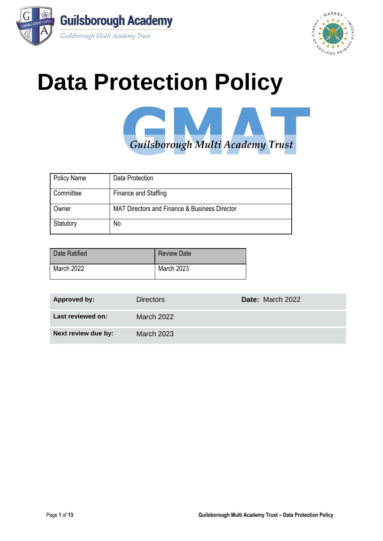



# **Data Protection Policy**



| <b>Policy Name</b> | Data Protection                               |
|--------------------|-----------------------------------------------|
| Committee          | Finance and Staffing                          |
| Owner              | MAT Directors and Finance & Business Director |
| Statutory          | No                                            |

| Date Ratified | <b>Review Date</b> |
|---------------|--------------------|
| March 2022    | <b>March 2023</b>  |

| Approved by:        | <b>Directors</b>  | Date: March 2022 |
|---------------------|-------------------|------------------|
| Last reviewed on:   | March 2022        |                  |
| Next review due by: | <b>March 2023</b> |                  |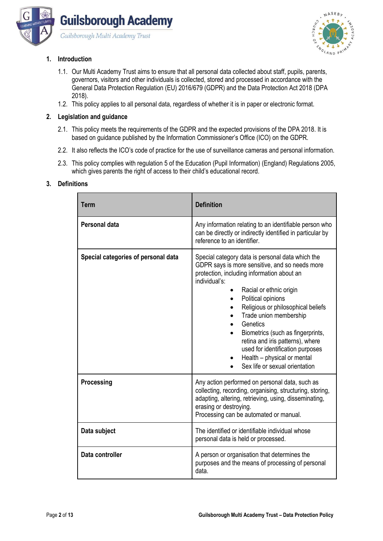



# **1. Introduction**

- 1.1. Our Multi Academy Trust aims to ensure that all personal data collected about staff, pupils, parents, governors, visitors and other individuals is collected, stored and processed in accordance with the General Data Protection Regulation (EU) 2016/679 (GDPR) and the Data Protection Act 2018 (DPA 2018).
- 1.2. This policy applies to all personal data, regardless of whether it is in paper or electronic format.

# **2. Legislation and guidance**

- 2.1. This policy meets the requirements of the GDPR and the expected provisions of the DPA 2018. It is based on guidance published by the Information Commissioner's Office (ICO) on the GDPR.
- 2.2. It also reflects the ICO's code of practice for the use of surveillance cameras and personal information.
- 2.3. This policy complies with regulation 5 of the Education (Pupil Information) (England) Regulations 2005, which gives parents the right of access to their child's educational record.

# **3. Definitions**

| <b>Term</b>                         | <b>Definition</b>                                                                                                                                                                                                                                                                                                                                                                                                                                                                         |
|-------------------------------------|-------------------------------------------------------------------------------------------------------------------------------------------------------------------------------------------------------------------------------------------------------------------------------------------------------------------------------------------------------------------------------------------------------------------------------------------------------------------------------------------|
| Personal data                       | Any information relating to an identifiable person who<br>can be directly or indirectly identified in particular by<br>reference to an identifier.                                                                                                                                                                                                                                                                                                                                        |
| Special categories of personal data | Special category data is personal data which the<br>GDPR says is more sensitive, and so needs more<br>protection, including information about an<br>individual's:<br>Racial or ethnic origin<br>Political opinions<br>$\bullet$<br>Religious or philosophical beliefs<br>Trade union membership<br>Genetics<br>Biometrics (such as fingerprints,<br>retina and iris patterns), where<br>used for identification purposes<br>Health - physical or mental<br>Sex life or sexual orientation |
| Processing                          | Any action performed on personal data, such as<br>collecting, recording, organising, structuring, storing,<br>adapting, altering, retrieving, using, disseminating,<br>erasing or destroying.<br>Processing can be automated or manual.                                                                                                                                                                                                                                                   |
| Data subject                        | The identified or identifiable individual whose<br>personal data is held or processed.                                                                                                                                                                                                                                                                                                                                                                                                    |
| Data controller                     | A person or organisation that determines the<br>purposes and the means of processing of personal<br>data.                                                                                                                                                                                                                                                                                                                                                                                 |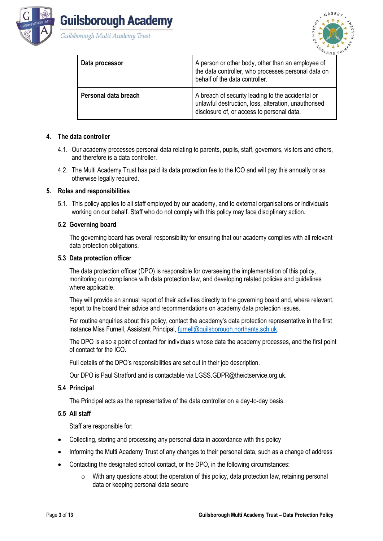



 $MASEB$ 

| Guilsborough Multi Academy Tru |  |  |  |
|--------------------------------|--|--|--|
|                                |  |  |  |

| Data processor       | A person or other body, other than an employee of<br>the data controller, who processes personal data on<br>behalf of the data controller.              |
|----------------------|---------------------------------------------------------------------------------------------------------------------------------------------------------|
| Personal data breach | A breach of security leading to the accidental or<br>unlawful destruction, loss, alteration, unauthorised<br>disclosure of, or access to personal data. |

### **4. The data controller**

- 4.1. Our academy processes personal data relating to parents, pupils, staff, governors, visitors and others, and therefore is a data controller.
- 4.2. The Multi Academy Trust has paid its data protection fee to the ICO and will pay this annually or as otherwise legally required.

#### **5. Roles and responsibilities**

5.1. This policy applies to all staff employed by our academy, and to external organisations or individuals working on our behalf. Staff who do not comply with this policy may face disciplinary action.

#### **5.2 Governing board**

The governing board has overall responsibility for ensuring that our academy complies with all relevant data protection obligations.

#### **5.3 Data protection officer**

The data protection officer (DPO) is responsible for overseeing the implementation of this policy, monitoring our compliance with data protection law, and developing related policies and guidelines where applicable.

They will provide an annual report of their activities directly to the governing board and, where relevant, report to the board their advice and recommendations on academy data protection issues.

For routine enquiries about this policy, contact the academy's data protection representative in the first instance Miss Furnell, Assistant Principal[, furnell@guilsborough.northants.sch.uk.](mailto:furnell@guilsborough.northants.sch.uk)

The DPO is also a point of contact for individuals whose data the academy processes, and the first point of contact for the ICO.

Full details of the DPO's responsibilities are set out in their job description.

Our DPO is Paul Stratford and is contactable via LGSS.GDPR@theictservice.org.uk.

#### **5.4 Principal**

The Principal acts as the representative of the data controller on a day-to-day basis.

#### **5.5 All staff**

Staff are responsible for:

- Collecting, storing and processing any personal data in accordance with this policy
- Informing the Multi Academy Trust of any changes to their personal data, such as a change of address
- Contacting the designated school contact, or the DPO, in the following circumstances:
	- o With any questions about the operation of this policy, data protection law, retaining personal data or keeping personal data secure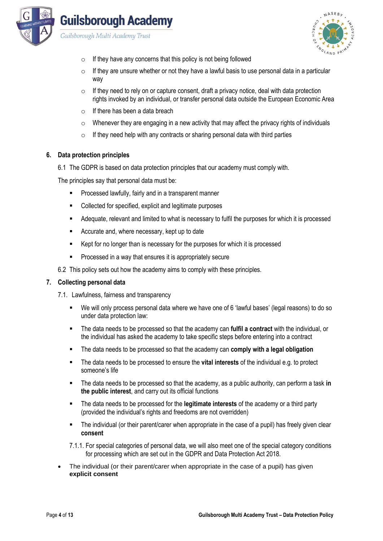

Guilsborough Multi Academy Trust



- $\circ$  If they have any concerns that this policy is not being followed
- $\circ$  If they are unsure whether or not they have a lawful basis to use personal data in a particular way
- $\circ$  If they need to rely on or capture consent, draft a privacy notice, deal with data protection rights invoked by an individual, or transfer personal data outside the European Economic Area
- $\circ$  If there has been a data breach
- o Whenever they are engaging in a new activity that may affect the privacy rights of individuals
- $\circ$  If they need help with any contracts or sharing personal data with third parties

#### **6. Data protection principles**

6.1 The GDPR is based on data protection principles that our academy must comply with.

The principles say that personal data must be:

- Processed lawfully, fairly and in a transparent manner
- Collected for specified, explicit and legitimate purposes
- Adequate, relevant and limited to what is necessary to fulfil the purposes for which it is processed
- Accurate and, where necessary, kept up to date
- Kept for no longer than is necessary for the purposes for which it is processed
- Processed in a way that ensures it is appropriately secure

6.2 This policy sets out how the academy aims to comply with these principles.

#### **7. Collecting personal data**

- 7.1. Lawfulness, fairness and transparency
	- We will only process personal data where we have one of 6 'lawful bases' (legal reasons) to do so under data protection law:
	- The data needs to be processed so that the academy can **fulfil a contract** with the individual, or the individual has asked the academy to take specific steps before entering into a contract
	- The data needs to be processed so that the academy can **comply with a legal obligation**
	- The data needs to be processed to ensure the **vital interests** of the individual e.g. to protect someone's life
	- The data needs to be processed so that the academy, as a public authority, can perform a task in **the public interest**, and carry out its official functions
	- The data needs to be processed for the **legitimate interests** of the academy or a third party (provided the individual's rights and freedoms are not overridden)
	- The individual (or their parent/carer when appropriate in the case of a pupil) has freely given clear **consent**
	- 7.1.1. For special categories of personal data, we will also meet one of the special category conditions for processing which are set out in the GDPR and Data Protection Act 2018.
- The individual (or their parent/carer when appropriate in the case of a pupil) has given **explicit consent**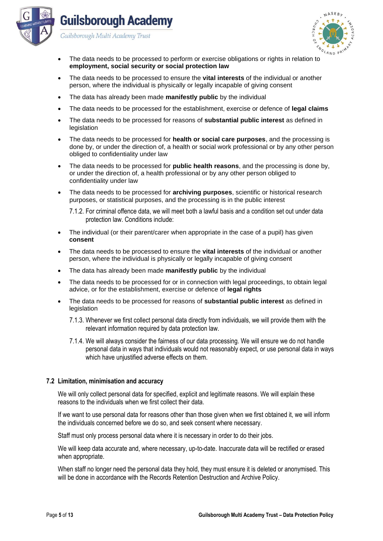



- The data needs to be processed to perform or exercise obligations or rights in relation to **employment, social security or social protection law**
- The data needs to be processed to ensure the **vital interests** of the individual or another person, where the individual is physically or legally incapable of giving consent
- The data has already been made **manifestly public** by the individual
- The data needs to be processed for the establishment, exercise or defence of **legal claims**
- The data needs to be processed for reasons of **substantial public interest** as defined in legislation
- The data needs to be processed for **health or social care purposes**, and the processing is done by, or under the direction of, a health or social work professional or by any other person obliged to confidentiality under law
- The data needs to be processed for **public health reasons**, and the processing is done by, or under the direction of, a health professional or by any other person obliged to confidentiality under law
- The data needs to be processed for **archiving purposes**, scientific or historical research purposes, or statistical purposes, and the processing is in the public interest

7.1.2. For criminal offence data, we will meet both a lawful basis and a condition set out under data protection law. Conditions include:

- The individual (or their parent/carer when appropriate in the case of a pupil) has given **consent**
- The data needs to be processed to ensure the **vital interests** of the individual or another person, where the individual is physically or legally incapable of giving consent
- The data has already been made **manifestly public** by the individual
- The data needs to be processed for or in connection with legal proceedings, to obtain legal advice, or for the establishment, exercise or defence of **legal rights**
- The data needs to be processed for reasons of **substantial public interest** as defined in legislation
	- 7.1.3. Whenever we first collect personal data directly from individuals, we will provide them with the relevant information required by data protection law.
	- 7.1.4. We will always consider the fairness of our data processing. We will ensure we do not handle personal data in ways that individuals would not reasonably expect, or use personal data in ways which have unjustified adverse effects on them.

#### **7.2 Limitation, minimisation and accuracy**

We will only collect personal data for specified, explicit and legitimate reasons. We will explain these reasons to the individuals when we first collect their data.

If we want to use personal data for reasons other than those given when we first obtained it, we will inform the individuals concerned before we do so, and seek consent where necessary.

Staff must only process personal data where it is necessary in order to do their jobs.

We will keep data accurate and, where necessary, up-to-date. Inaccurate data will be rectified or erased when appropriate.

When staff no longer need the personal data they hold, they must ensure it is deleted or anonymised. This will be done in accordance with the Records Retention Destruction and Archive Policy.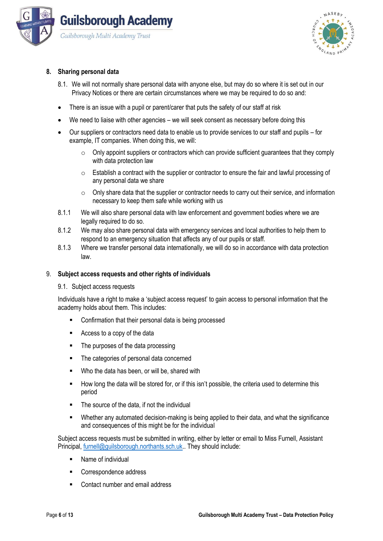



## **8. Sharing personal data**

- 8.1. We will not normally share personal data with anyone else, but may do so where it is set out in our Privacy Notices or there are certain circumstances where we may be required to do so and:
- There is an issue with a pupil or parent/carer that puts the safety of our staff at risk
- We need to liaise with other agencies we will seek consent as necessary before doing this
- Our suppliers or contractors need data to enable us to provide services to our staff and pupils for example, IT companies. When doing this, we will:
	- $\circ$  Only appoint suppliers or contractors which can provide sufficient guarantees that they comply with data protection law
	- $\circ$  Establish a contract with the supplier or contractor to ensure the fair and lawful processing of any personal data we share
	- o Only share data that the supplier or contractor needs to carry out their service, and information necessary to keep them safe while working with us
- 8.1.1 We will also share personal data with law enforcement and government bodies where we are legally required to do so.
- 8.1.2 We may also share personal data with emergency services and local authorities to help them to respond to an emergency situation that affects any of our pupils or staff.
- 8.1.3 Where we transfer personal data internationally, we will do so in accordance with data protection law.

#### 9. **Subject access requests and other rights of individuals**

9.1. Subject access requests

Individuals have a right to make a 'subject access request' to gain access to personal information that the academy holds about them. This includes:

- Confirmation that their personal data is being processed
- Access to a copy of the data
- The purposes of the data processing
- The categories of personal data concerned
- Who the data has been, or will be, shared with
- How long the data will be stored for, or if this isn't possible, the criteria used to determine this period
- The source of the data, if not the individual
- Whether any automated decision-making is being applied to their data, and what the significance and consequences of this might be for the individual

Subject access requests must be submitted in writing, either by letter or email to Miss Furnell, Assistant Principal[, furnell@guilsborough.northants.sch.uk.](mailto:furnell@guilsborough.northants.sch.uk). They should include:

- Name of individual
- Correspondence address
- Contact number and email address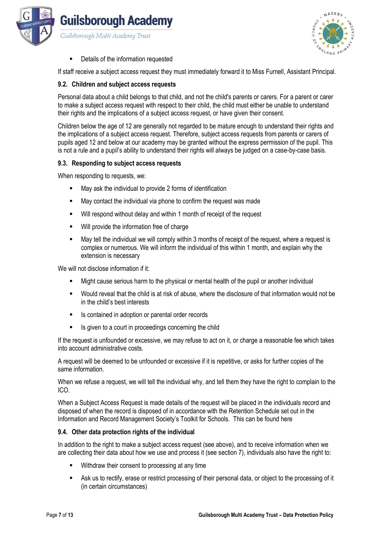



Details of the information requested

If staff receive a subject access request they must immediately forward it to Miss Furnell, Assistant Principal.

#### **9.2. Children and subject access requests**

Personal data about a child belongs to that child, and not the child's parents or carers. For a parent or carer to make a subject access request with respect to their child, the child must either be unable to understand their rights and the implications of a subject access request, or have given their consent.

Children below the age of 12 are generally not regarded to be mature enough to understand their rights and the implications of a subject access request. Therefore, subject access requests from parents or carers of pupils aged 12 and below at our academy may be granted without the express permission of the pupil. This is not a rule and a pupil's ability to understand their rights will always be judged on a case-by-case basis.

#### **9.3. Responding to subject access requests**

When responding to requests, we:

- May ask the individual to provide 2 forms of identification
- May contact the individual via phone to confirm the request was made
- Will respond without delay and within 1 month of receipt of the request
- Will provide the information free of charge
- May tell the individual we will comply within 3 months of receipt of the request, where a request is complex or numerous. We will inform the individual of this within 1 month, and explain why the extension is necessary

We will not disclose information if it:

- Might cause serious harm to the physical or mental health of the pupil or another individual
- Would reveal that the child is at risk of abuse, where the disclosure of that information would not be in the child's best interests
- Is contained in adoption or parental order records
- Is given to a court in proceedings concerning the child

If the request is unfounded or excessive, we may refuse to act on it, or charge a reasonable fee which takes into account administrative costs.

A request will be deemed to be unfounded or excessive if it is repetitive, or asks for further copies of the same information.

When we refuse a request, we will tell the individual why, and tell them they have the right to complain to the ICO.

When a Subject Access Request is made details of the request will be placed in the individuals record and disposed of when the record is disposed of in accordance with the Retention Schedule set out in the Information and Record Management Society's Toolkit for Schools. This can be found here

#### **9.4. Other data protection rights of the individual**

In addition to the right to make a subject access request (see above), and to receive information when we are collecting their data about how we use and process it (see section 7), individuals also have the right to:

- Withdraw their consent to processing at any time
- Ask us to rectify, erase or restrict processing of their personal data, or object to the processing of it (in certain circumstances)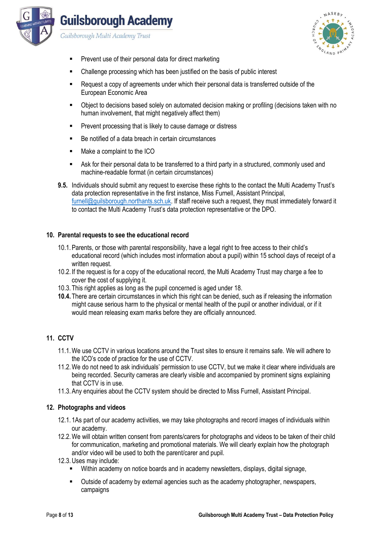

Guilsborough Multi Academy Trust



- Prevent use of their personal data for direct marketing
- Challenge processing which has been justified on the basis of public interest
- Request a copy of agreements under which their personal data is transferred outside of the European Economic Area
- Object to decisions based solely on automated decision making or profiling (decisions taken with no human involvement, that might negatively affect them)
- Prevent processing that is likely to cause damage or distress
- Be notified of a data breach in certain circumstances
- Make a complaint to the ICO
- Ask for their personal data to be transferred to a third party in a structured, commonly used and machine-readable format (in certain circumstances)
- **9.5.** Individuals should submit any request to exercise these rights to the contact the Multi Academy Trust's data protection representative in the first instance, Miss Furnell, Assistant Principal, [furnell@guilsborough.northants.sch.uk.](mailto:furnell@guilsborough.northants.sch.uk) If staff receive such a request, they must immediately forward it to contact the Multi Academy Trust's data protection representative or the DPO.

### **10. Parental requests to see the educational record**

- 10.1.Parents, or those with parental responsibility, have a legal right to free access to their child's educational record (which includes most information about a pupil) within 15 school days of receipt of a written request.
- 10.2. If the request is for a copy of the educational record, the Multi Academy Trust may charge a fee to cover the cost of supplying it.
- 10.3. This right applies as long as the pupil concerned is aged under 18.
- **10.4.** There are certain circumstances in which this right can be denied, such as if releasing the information might cause serious harm to the physical or mental health of the pupil or another individual, or if it would mean releasing exam marks before they are officially announced.

# **11. CCTV**

- 11.1.We use CCTV in various locations around the Trust sites to ensure it remains safe. We will adhere to the ICO's code of practice for the use of CCTV.
- 11.2.We do not need to ask individuals' permission to use CCTV, but we make it clear where individuals are being recorded. Security cameras are clearly visible and accompanied by prominent signs explaining that CCTV is in use.
- 11.3.Any enquiries about the CCTV system should be directed to Miss Furnell, Assistant Principal.

### **12. Photographs and videos**

- 12.1. 1As part of our academy activities, we may take photographs and record images of individuals within our academy.
- 12.2.We will obtain written consent from parents/carers for photographs and videos to be taken of their child for communication, marketing and promotional materials. We will clearly explain how the photograph and/or video will be used to both the parent/carer and pupil.
- 12.3.Uses may include:
	- Within academy on notice boards and in academy newsletters, displays, digital signage,
	- Outside of academy by external agencies such as the academy photographer, newspapers, campaigns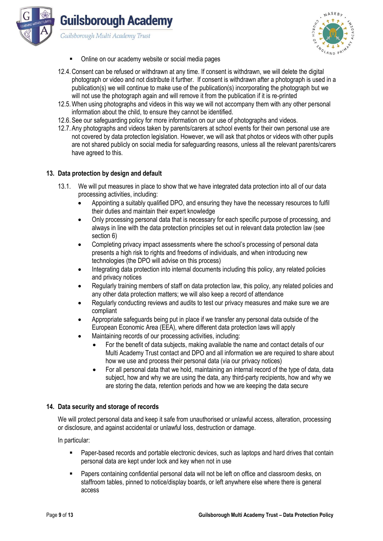



- Online on our academy website or social media pages
- 12.4.Consent can be refused or withdrawn at any time. If consent is withdrawn, we will delete the digital photograph or video and not distribute it further. If consent is withdrawn after a photograph is used in a publication(s) we will continue to make use of the publication(s) incorporating the photograph but we will not use the photograph again and will remove it from the publication if it is re-printed
- 12.5.When using photographs and videos in this way we will not accompany them with any other personal information about the child, to ensure they cannot be identified.
- 12.6.See our safeguarding policy for more information on our use of photographs and videos.
- 12.7.Any photographs and videos taken by parents/carers at school events for their own personal use are not covered by data protection legislation. However, we will ask that photos or videos with other pupils are not shared publicly on social media for safeguarding reasons, unless all the relevant parents/carers have agreed to this.

#### **13. Data protection by design and default**

- 13.1. We will put measures in place to show that we have integrated data protection into all of our data processing activities, including:
	- Appointing a suitably qualified DPO, and ensuring they have the necessary resources to fulfil their duties and maintain their expert knowledge
	- Only processing personal data that is necessary for each specific purpose of processing, and always in line with the data protection principles set out in relevant data protection law (see section 6)
	- Completing privacy impact assessments where the school's processing of personal data presents a high risk to rights and freedoms of individuals, and when introducing new technologies (the DPO will advise on this process)
	- Integrating data protection into internal documents including this policy, any related policies and privacy notices
	- Regularly training members of staff on data protection law, this policy, any related policies and any other data protection matters; we will also keep a record of attendance
	- Regularly conducting reviews and audits to test our privacy measures and make sure we are compliant
	- Appropriate safeguards being put in place if we transfer any personal data outside of the European Economic Area (EEA), where different data protection laws will apply
	- Maintaining records of our processing activities, including:
		- For the benefit of data subjects, making available the name and contact details of our Multi Academy Trust contact and DPO and all information we are required to share about how we use and process their personal data (via our privacy notices)
		- For all personal data that we hold, maintaining an internal record of the type of data, data subject, how and why we are using the data, any third-party recipients, how and why we are storing the data, retention periods and how we are keeping the data secure

#### **14. Data security and storage of records**

We will protect personal data and keep it safe from unauthorised or unlawful access, alteration, processing or disclosure, and against accidental or unlawful loss, destruction or damage.

In particular:

- Paper-based records and portable electronic devices, such as laptops and hard drives that contain personal data are kept under lock and key when not in use
- Papers containing confidential personal data will not be left on office and classroom desks, on staffroom tables, pinned to notice/display boards, or left anywhere else where there is general access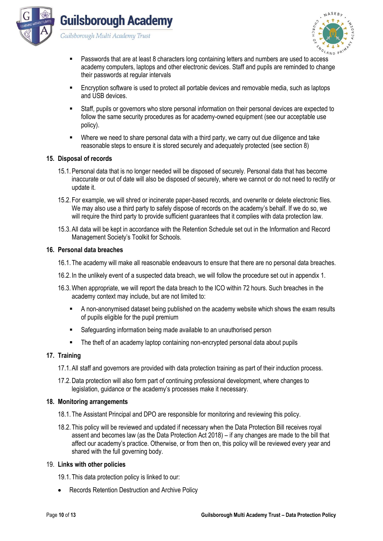





- Passwords that are at least 8 characters long containing letters and numbers are used to access academy computers, laptops and other electronic devices. Staff and pupils are reminded to change their passwords at regular intervals
- Encryption software is used to protect all portable devices and removable media, such as laptops and USB devices.
- Staff, pupils or governors who store personal information on their personal devices are expected to follow the same security procedures as for academy-owned equipment (see our acceptable use policy).
- Where we need to share personal data with a third party, we carry out due diligence and take reasonable steps to ensure it is stored securely and adequately protected (see section 8)

#### **15. Disposal of records**

- 15.1.Personal data that is no longer needed will be disposed of securely. Personal data that has become inaccurate or out of date will also be disposed of securely, where we cannot or do not need to rectify or update it.
- 15.2. For example, we will shred or incinerate paper-based records, and overwrite or delete electronic files. We may also use a third party to safely dispose of records on the academy's behalf. If we do so, we will require the third party to provide sufficient quarantees that it complies with data protection law.
- 15.3.All data will be kept in accordance with the Retention Schedule set out in the Information and Record Management Society's Toolkit for Schools.

#### **16. Personal data breaches**

- 16.1. The academy will make all reasonable endeavours to ensure that there are no personal data breaches.
- 16.2. In the unlikely event of a suspected data breach, we will follow the procedure set out in appendix 1.
- 16.3.When appropriate, we will report the data breach to the ICO within 72 hours. Such breaches in the academy context may include, but are not limited to:
	- A non-anonymised dataset being published on the academy website which shows the exam results of pupils eligible for the pupil premium
	- Safeguarding information being made available to an unauthorised person
	- The theft of an academy laptop containing non-encrypted personal data about pupils

#### **17. Training**

- 17.1.All staff and governors are provided with data protection training as part of their induction process.
- 17.2.Data protection will also form part of continuing professional development, where changes to legislation, guidance or the academy's processes make it necessary.

#### **18. Monitoring arrangements**

- 18.1. The Assistant Principal and DPO are responsible for monitoring and reviewing this policy.
- 18.2. This policy will be reviewed and updated if necessary when the Data Protection Bill receives royal assent and becomes law (as the Data Protection Act 2018) – if any changes are made to the bill that affect our academy's practice. Otherwise, or from then on, this policy will be reviewed every year and shared with the full governing body.

#### 19. **Links with other policies**

19.1. This data protection policy is linked to our:

• Records Retention Destruction and Archive Policy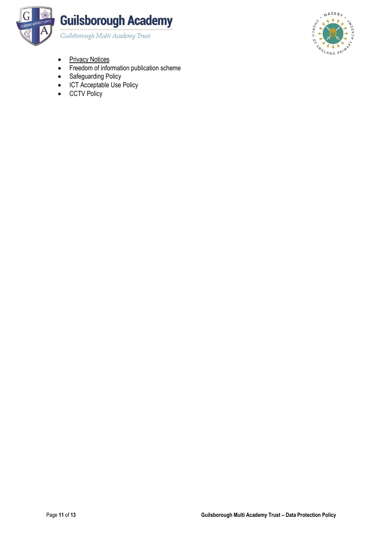



- [Privacy Notices](http://www.guilsborough.northants.sch.uk/for-parents/key-information/documents-hub/privacy-notice)
- Freedom of information publication scheme
- Safeguarding Policy
- ICT Acceptable Use Policy
- CCTV Policy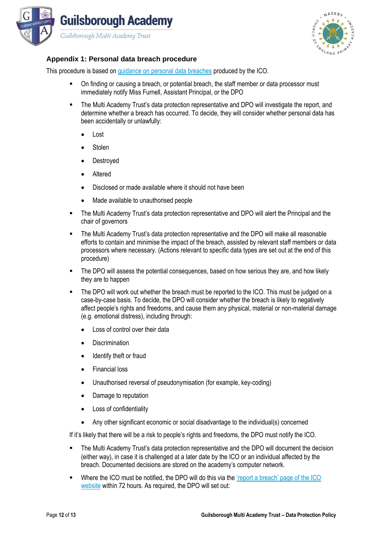



# **Appendix 1: Personal data breach procedure**

This procedure is based on [guidance on personal data breaches](https://ico.org.uk/for-organisations/guide-to-the-general-data-protection-regulation-gdpr/personal-data-breaches/) produced by the ICO.

- On finding or causing a breach, or potential breach, the staff member or data processor must immediately notify Miss Furnell, Assistant Principal, or the DPO
- The Multi Academy Trust's data protection representative and DPO will investigate the report, and determine whether a breach has occurred. To decide, they will consider whether personal data has been accidentally or unlawfully:
	- Lost
	- **Stolen**
	- **Destroyed**
	- Altered
	- Disclosed or made available where it should not have been
	- Made available to unauthorised people
- **•** The Multi Academy Trust's data protection representative and DPO will alert the Principal and the chair of governors
- The Multi Academy Trust's data protection representative and the DPO will make all reasonable efforts to contain and minimise the impact of the breach, assisted by relevant staff members or data processors where necessary. (Actions relevant to specific data types are set out at the end of this procedure)
- **•** The DPO will assess the potential consequences, based on how serious they are, and how likely they are to happen
- The DPO will work out whether the breach must be reported to the ICO. This must be judged on a case-by-case basis. To decide, the DPO will consider whether the breach is likely to negatively affect people's rights and freedoms, and cause them any physical, material or non-material damage (e.g. emotional distress), including through:
	- Loss of control over their data
	- Discrimination
	- Identify theft or fraud
	- Financial loss
	- Unauthorised reversal of pseudonymisation (for example, key-coding)
	- Damage to reputation
	- Loss of confidentiality
	- Any other significant economic or social disadvantage to the individual(s) concerned

If it's likely that there will be a risk to people's rights and freedoms, the DPO must notify the ICO.

- The Multi Academy Trust's data protection representative and the DPO will document the decision (either way), in case it is challenged at a later date by the ICO or an individual affected by the breach. Documented decisions are stored on the academy's computer network.
- **•** Where the ICO must be notified, the DPO will do this via the 'report a breach' page of the ICO [website](https://ico.org.uk/for-organisations/report-a-breach/) within 72 hours. As required, the DPO will set out: